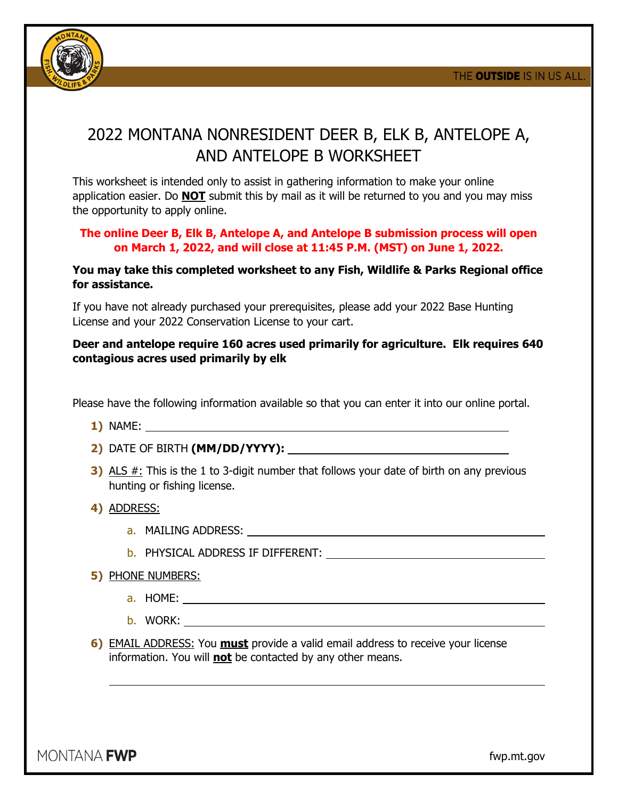

## 2022 MONTANA NONRESIDENT DEER B, ELK B, ANTELOPE A, AND ANTELOPE B WORKSHEET

This worksheet is intended only to assist in gathering information to make your online application easier. Do **NOT** submit this by mail as it will be returned to you and you may miss the opportunity to apply online.

## **The online Deer B, Elk B, Antelope A, and Antelope B submission process will open on March 1, 2022, and will close at 11:45 P.M. (MST) on June 1, 2022.**

## **You may take this completed worksheet to any Fish, Wildlife & Parks Regional office for assistance.**

If you have not already purchased your prerequisites, please add your 2022 Base Hunting License and your 2022 Conservation License to your cart.

## **Deer and antelope require 160 acres used primarily for agriculture. Elk requires 640 contagious acres used primarily by elk**

Please have the following information available so that you can enter it into our online portal.

- **1)** NAME:
- **2)** DATE OF BIRTH **(MM/DD/YYYY):**
- **3)** ALS #: This is the 1 to 3-digit number that follows your date of birth on any previous hunting or fishing license.
- **4)** ADDRESS:
	- a. MAILING ADDRESS:
	- b. PHYSICAL ADDRESS IF DIFFERENT:
- **5)** PHONE NUMBERS:
	- a. HOME:
	- b. WORK:
- **6)** EMAIL ADDRESS: You **must** provide a valid email address to receive your license information. You will **not** be contacted by any other means.

MONTANA **FWP** 

fwp.mt.gov